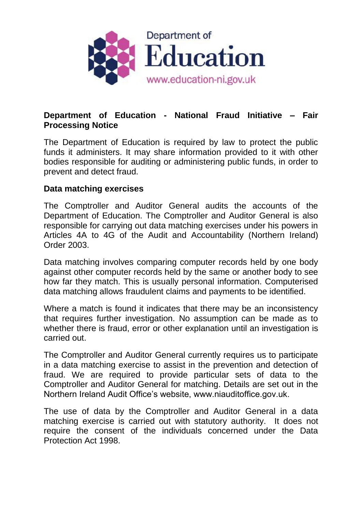

## **Department of Education - National Fraud Initiative – Fair Processing Notice**

The Department of Education is required by law to protect the public funds it administers. It may share information provided to it with other bodies responsible for auditing or administering public funds, in order to prevent and detect fraud.

## **Data matching exercises**

The Comptroller and Auditor General audits the accounts of the Department of Education. The Comptroller and Auditor General is also responsible for carrying out data matching exercises under his powers in Articles 4A to 4G of the Audit and Accountability (Northern Ireland) Order 2003.

Data matching involves comparing computer records held by one body against other computer records held by the same or another body to see how far they match. This is usually personal information. Computerised data matching allows fraudulent claims and payments to be identified.

Where a match is found it indicates that there may be an inconsistency that requires further investigation. No assumption can be made as to whether there is fraud, error or other explanation until an investigation is carried out.

The Comptroller and Auditor General currently requires us to participate in a data matching exercise to assist in the prevention and detection of fraud. We are required to provide particular sets of data to the Comptroller and Auditor General for matching. Details are set out in the Northern Ireland Audit Office's website, www.niauditoffice.gov.uk.

The use of data by the Comptroller and Auditor General in a data matching exercise is carried out with statutory authority. It does not require the consent of the individuals concerned under the Data Protection Act 1998.